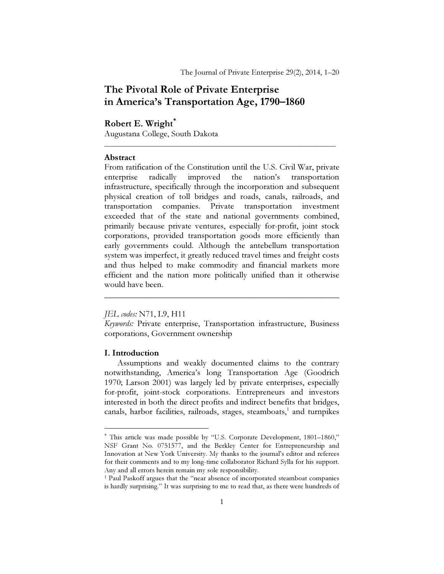# The Pivotal Role of Private Enterprise in America's Transportation Age, 1790–1860

## Robert E. Wright<sup>\*</sup>

Augustana College, South Dakota

#### Abstract

From ratification of the Constitution until the U.S. Civil War, private enterprise radically improved the nation's transportation infrastructure, specifically through the incorporation and subsequent physical creation of toll bridges and roads, canals, railroads, and transportation companies. Private transportation investment exceeded that of the state and national governments combined, primarily because private ventures, especially for-profit, joint stock corporations, provided transportation goods more efficiently than early governments could. Although the antebellum transportation system was imperfect, it greatly reduced travel times and freight costs and thus helped to make commodity and financial markets more efficient and the nation more politically unified than it otherwise would have been.

\_\_\_\_\_\_\_\_\_\_\_\_\_\_\_\_\_\_\_\_\_\_\_\_\_\_\_\_\_\_\_\_\_\_\_\_\_\_\_\_\_\_\_\_\_\_\_\_\_\_\_\_\_\_\_\_\_\_

JEL codes: N71, L9, H11

Keywords: Private enterprise, Transportation infrastructure, Business corporations, Government ownership

\_\_\_\_\_\_\_\_\_\_\_\_\_\_\_\_\_\_\_\_\_\_\_\_\_\_\_\_\_\_\_\_\_\_\_\_\_\_\_\_\_\_\_\_\_\_\_\_\_\_\_\_\_\_

#### I. Introduction

 $\overline{a}$ 

Assumptions and weakly documented claims to the contrary notwithstanding, America's long Transportation Age (Goodrich 1970; Larson 2001) was largely led by private enterprises, especially for-profit, joint-stock corporations. Entrepreneurs and investors interested in both the direct profits and indirect benefits that bridges, canals, harbor facilities, railroads, stages, steamboats,<sup>1</sup> and turnpikes

<sup>∗</sup> This article was made possible by "U.S. Corporate Development, 1801–1860," NSF Grant No. 0751577, and the Berkley Center for Entrepreneurship and Innovation at New York University. My thanks to the journal's editor and referees for their comments and to my long-time collaborator Richard Sylla for his support. Any and all errors herein remain my sole responsibility.

<sup>&</sup>lt;sup>1</sup> Paul Paskoff argues that the "near absence of incorporated steamboat companies is hardly surprising." It was surprising to me to read that, as there were hundreds of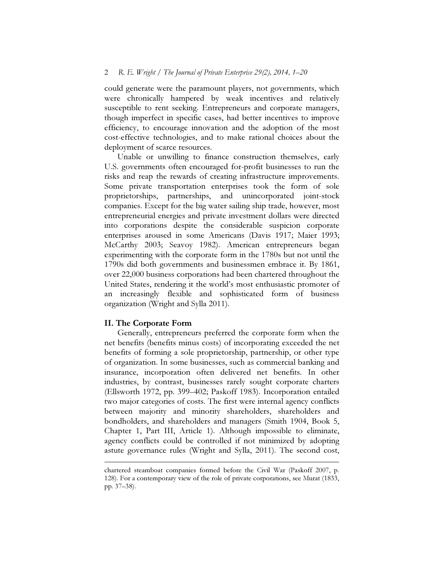#### 2 R. E. Wright / The Journal of Private Enterprise 29(2), 2014, 1–20

could generate were the paramount players, not governments, which were chronically hampered by weak incentives and relatively susceptible to rent seeking. Entrepreneurs and corporate managers, though imperfect in specific cases, had better incentives to improve efficiency, to encourage innovation and the adoption of the most cost-effective technologies, and to make rational choices about the deployment of scarce resources.

Unable or unwilling to finance construction themselves, early U.S. governments often encouraged for-profit businesses to run the risks and reap the rewards of creating infrastructure improvements. Some private transportation enterprises took the form of sole proprietorships, partnerships, and unincorporated joint-stock companies. Except for the big water sailing ship trade, however, most entrepreneurial energies and private investment dollars were directed into corporations despite the considerable suspicion corporate enterprises aroused in some Americans (Davis 1917; Maier 1993; McCarthy 2003; Seavoy 1982). American entrepreneurs began experimenting with the corporate form in the 1780s but not until the 1790s did both governments and businessmen embrace it. By 1861, over 22,000 business corporations had been chartered throughout the United States, rendering it the world's most enthusiastic promoter of an increasingly flexible and sophisticated form of business organization (Wright and Sylla 2011).

### II. The Corporate Form

 $\overline{a}$ 

Generally, entrepreneurs preferred the corporate form when the net benefits (benefits minus costs) of incorporating exceeded the net benefits of forming a sole proprietorship, partnership, or other type of organization. In some businesses, such as commercial banking and insurance, incorporation often delivered net benefits. In other industries, by contrast, businesses rarely sought corporate charters (Ellsworth 1972, pp. 399–402; Paskoff 1983). Incorporation entailed two major categories of costs. The first were internal agency conflicts between majority and minority shareholders, shareholders and bondholders, and shareholders and managers (Smith 1904, Book 5, Chapter 1, Part III, Article 1). Although impossible to eliminate, agency conflicts could be controlled if not minimized by adopting astute governance rules (Wright and Sylla, 2011). The second cost,

chartered steamboat companies formed before the Civil War (Paskoff 2007, p. 128). For a contemporary view of the role of private corporations, see Murat (1833, pp. 37–38).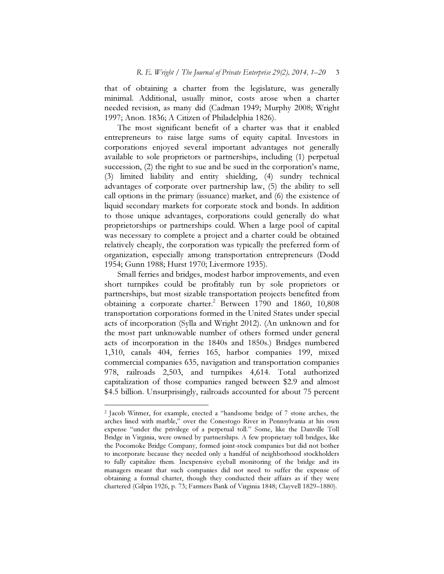that of obtaining a charter from the legislature, was generally minimal. Additional, usually minor, costs arose when a charter needed revision, as many did (Cadman 1949; Murphy 2008; Wright 1997; Anon. 1836; A Citizen of Philadelphia 1826).

The most significant benefit of a charter was that it enabled entrepreneurs to raise large sums of equity capital. Investors in corporations enjoyed several important advantages not generally available to sole proprietors or partnerships, including (1) perpetual succession, (2) the right to sue and be sued in the corporation's name, (3) limited liability and entity shielding, (4) sundry technical advantages of corporate over partnership law, (5) the ability to sell call options in the primary (issuance) market, and (6) the existence of liquid secondary markets for corporate stock and bonds. In addition to those unique advantages, corporations could generally do what proprietorships or partnerships could. When a large pool of capital was necessary to complete a project and a charter could be obtained relatively cheaply, the corporation was typically the preferred form of organization, especially among transportation entrepreneurs (Dodd 1954; Gunn 1988; Hurst 1970; Livermore 1935).

Small ferries and bridges, modest harbor improvements, and even short turnpikes could be profitably run by sole proprietors or partnerships, but most sizable transportation projects benefited from obtaining a corporate charter.<sup>2</sup> Between 1790 and 1860, 10,808 transportation corporations formed in the United States under special acts of incorporation (Sylla and Wright 2012). (An unknown and for the most part unknowable number of others formed under general acts of incorporation in the 1840s and 1850s.) Bridges numbered 1,310, canals 404, ferries 165, harbor companies 199, mixed commercial companies 635, navigation and transportation companies 978, railroads 2,503, and turnpikes 4,614. Total authorized capitalization of those companies ranged between \$2.9 and almost \$4.5 billion. Unsurprisingly, railroads accounted for about 75 percent

<sup>2</sup> Jacob Witmer, for example, erected a "handsome bridge of 7 stone arches, the arches lined with marble," over the Conestogo River in Pennsylvania at his own expense "under the privilege of a perpetual toll." Some, like the Danville Toll Bridge in Virginia, were owned by partnerships. A few proprietary toll bridges, like the Pocomoke Bridge Company, formed joint-stock companies but did not bother to incorporate because they needed only a handful of neighborhood stockholders to fully capitalize them. Inexpensive eyeball monitoring of the bridge and its managers meant that such companies did not need to suffer the expense of obtaining a formal charter, though they conducted their affairs as if they were chartered (Gilpin 1926, p. 73; Farmers Bank of Virginia 1848; Clayvell 1829–1880).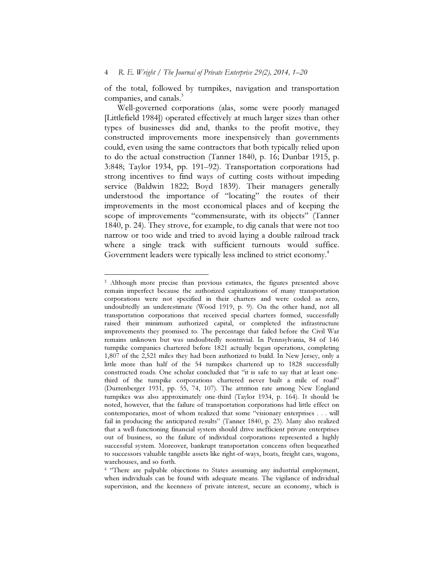of the total, followed by turnpikes, navigation and transportation companies, and canals.<sup>3</sup>

Well-governed corporations (alas, some were poorly managed [Littlefield 1984]) operated effectively at much larger sizes than other types of businesses did and, thanks to the profit motive, they constructed improvements more inexpensively than governments could, even using the same contractors that both typically relied upon to do the actual construction (Tanner 1840, p. 16; Dunbar 1915, p. 3:848; Taylor 1934, pp. 191–92). Transportation corporations had strong incentives to find ways of cutting costs without impeding service (Baldwin 1822; Boyd 1839). Their managers generally understood the importance of "locating" the routes of their improvements in the most economical places and of keeping the scope of improvements "commensurate, with its objects" (Tanner 1840, p. 24). They strove, for example, to dig canals that were not too narrow or too wide and tried to avoid laying a double railroad track where a single track with sufficient turnouts would suffice. Government leaders were typically less inclined to strict economy.<sup>4</sup>

<sup>&</sup>lt;sup>3</sup> Although more precise than previous estimates, the figures presented above remain imperfect because the authorized capitalizations of many transportation corporations were not specified in their charters and were coded as zero, undoubtedly an underestimate (Wood 1919, p. 9). On the other hand, not all transportation corporations that received special charters formed, successfully raised their minimum authorized capital, or completed the infrastructure improvements they promised to. The percentage that failed before the Civil War remains unknown but was undoubtedly nontrivial. In Pennsylvania, 84 of 146 turnpike companies chartered before 1821 actually began operations, completing 1,807 of the 2,521 miles they had been authorized to build. In New Jersey, only a little more than half of the 54 turnpikes chartered up to 1828 successfully constructed roads. One scholar concluded that "it is safe to say that at least onethird of the turnpike corporations chartered never built a mile of road" (Durrenberger 1931, pp. 55, 74, 107). The attrition rate among New England turnpikes was also approximately one-third (Taylor 1934, p. 164). It should be noted, however, that the failure of transportation corporations had little effect on contemporaries, most of whom realized that some "visionary enterprises . . . will fail in producing the anticipated results" (Tanner 1840, p. 23). Many also realized that a well-functioning financial system should drive inefficient private enterprises out of business, so the failure of individual corporations represented a highly successful system. Moreover, bankrupt transportation concerns often bequeathed to successors valuable tangible assets like right-of-ways, boats, freight cars, wagons, warehouses, and so forth.

<sup>&</sup>lt;sup>4</sup> "There are palpable objections to States assuming any industrial employment, when individuals can be found with adequate means. The vigilance of individual supervision, and the keenness of private interest, secure an economy, which is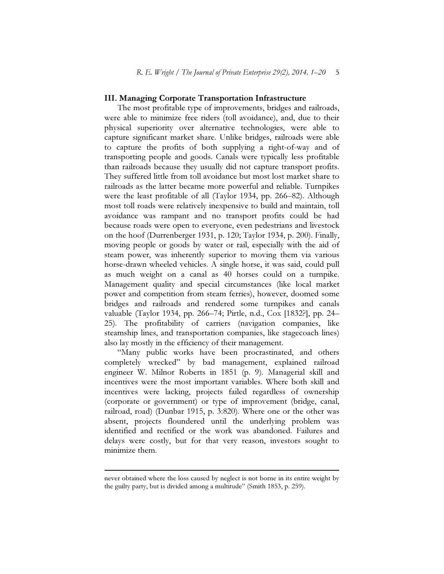#### III. Managing Corporate Transportation Infrastructure

The most profitable type of improvements, bridges and railroads, were able to minimize free riders (toll avoidance), and, due to their physical superiority over alternative technologies, were able to capture significant market share. Unlike bridges, railroads were able to capture the profits of both supplying a right-of-way and of transporting people and goods. Canals were typically less profitable than railroads because they usually did not capture transport profits. They suffered little from toll avoidance but most lost market share to railroads as the latter became more powerful and reliable. Turnpikes were the least profitable of all (Taylor 1934, pp. 266–82). Although most toll roads were relatively inexpensive to build and maintain, toll avoidance was rampant and no transport profits could be had because roads were open to everyone, even pedestrians and livestock on the hoof (Durrenberger 1931, p. 120; Taylor 1934, p. 200). Finally, moving people or goods by water or rail, especially with the aid of steam power, was inherently superior to moving them via various horse-drawn wheeled vehicles. A single horse, it was said, could pull as much weight on a canal as 40 horses could on a turnpike. Management quality and special circumstances (like local market power and competition from steam ferries), however, doomed some bridges and railroads and rendered some turnpikes and canals valuable (Taylor 1934, pp. 266–74; Pirtle, n.d., Cox [1832?], pp. 24– 25). The profitability of carriers (navigation companies, like steamship lines, and transportation companies, like stagecoach lines) also lay mostly in the efficiency of their management.

"Many public works have been procrastinated, and others completely wrecked" by bad management, explained railroad engineer W. Milnor Roberts in 1851 (p. 9). Managerial skill and incentives were the most important variables. Where both skill and incentives were lacking, projects failed regardless of ownership (corporate or government) or type of improvement (bridge, canal, railroad, road) (Dunbar 1915, p. 3:820). Where one or the other was absent, projects floundered until the underlying problem was identified and rectified or the work was abandoned. Failures and delays were costly, but for that very reason, investors sought to minimize them.

never obtained where the loss caused by neglect is not borne in its entire weight by the guilty party, but is divided among a multitude" (Smith 1853, p. 259).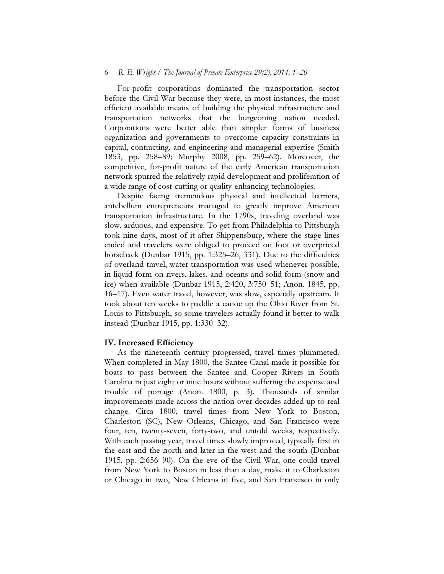#### 6 R. E. Wright / The Journal of Private Enterprise 29(2), 2014, 1–20

For-profit corporations dominated the transportation sector before the Civil War because they were, in most instances, the most efficient available means of building the physical infrastructure and transportation networks that the burgeoning nation needed. Corporations were better able than simpler forms of business organization and governments to overcome capacity constraints in capital, contracting, and engineering and managerial expertise (Smith 1853, pp. 258–89; Murphy 2008, pp. 259–62). Moreover, the competitive, for-profit nature of the early American transportation network spurred the relatively rapid development and proliferation of a wide range of cost-cutting or quality-enhancing technologies.

Despite facing tremendous physical and intellectual barriers, antebellum entrepreneurs managed to greatly improve American transportation infrastructure. In the 1790s, traveling overland was slow, arduous, and expensive. To get from Philadelphia to Pittsburgh took nine days, most of it after Shippensburg, where the stage lines ended and travelers were obliged to proceed on foot or overpriced horseback (Dunbar 1915, pp. 1:325–26, 331). Due to the difficulties of overland travel, water transportation was used whenever possible, in liquid form on rivers, lakes, and oceans and solid form (snow and ice) when available (Dunbar 1915, 2:420, 3:750–51; Anon. 1845, pp. 16–17). Even water travel, however, was slow, especially upstream. It took about ten weeks to paddle a canoe up the Ohio River from St. Louis to Pittsburgh, so some travelers actually found it better to walk instead (Dunbar 1915, pp. 1:330–32).

#### IV. Increased Efficiency

As the nineteenth century progressed, travel times plummeted. When completed in May 1800, the Santee Canal made it possible for boats to pass between the Santee and Cooper Rivers in South Carolina in just eight or nine hours without suffering the expense and trouble of portage (Anon. 1800, p. 3). Thousands of similar improvements made across the nation over decades added up to real change. Circa 1800, travel times from New York to Boston, Charleston (SC), New Orleans, Chicago, and San Francisco were four, ten, twenty-seven, forty-two, and untold weeks, respectively. With each passing year, travel times slowly improved, typically first in the east and the north and later in the west and the south (Dunbar 1915, pp. 2:656–90). On the eve of the Civil War, one could travel from New York to Boston in less than a day, make it to Charleston or Chicago in two, New Orleans in five, and San Francisco in only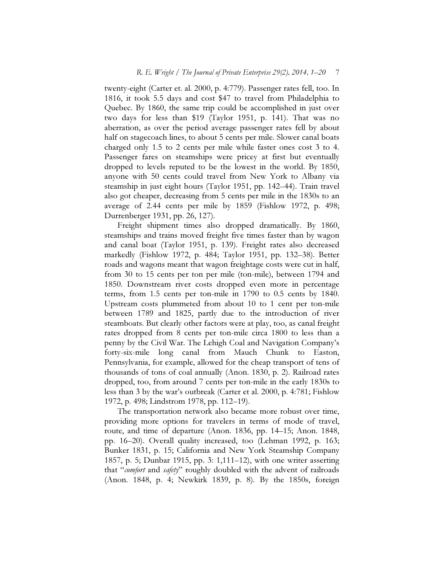twenty-eight (Carter et. al. 2000, p. 4:779). Passenger rates fell, too. In 1816, it took 5.5 days and cost \$47 to travel from Philadelphia to Quebec. By 1860, the same trip could be accomplished in just over two days for less than \$19 (Taylor 1951, p. 141). That was no aberration, as over the period average passenger rates fell by about half on stagecoach lines, to about 5 cents per mile. Slower canal boats charged only 1.5 to 2 cents per mile while faster ones cost 3 to 4. Passenger fares on steamships were pricey at first but eventually dropped to levels reputed to be the lowest in the world. By 1850, anyone with 50 cents could travel from New York to Albany via steamship in just eight hours (Taylor 1951, pp. 142–44). Train travel also got cheaper, decreasing from 5 cents per mile in the 1830s to an average of 2.44 cents per mile by 1859 (Fishlow 1972, p. 498; Durrenberger 1931, pp. 26, 127).

Freight shipment times also dropped dramatically. By 1860, steamships and trains moved freight five times faster than by wagon and canal boat (Taylor 1951, p. 139). Freight rates also decreased markedly (Fishlow 1972, p. 484; Taylor 1951, pp. 132–38). Better roads and wagons meant that wagon freightage costs were cut in half, from 30 to 15 cents per ton per mile (ton-mile), between 1794 and 1850. Downstream river costs dropped even more in percentage terms, from 1.5 cents per ton-mile in 1790 to 0.5 cents by 1840. Upstream costs plummeted from about 10 to 1 cent per ton-mile between 1789 and 1825, partly due to the introduction of river steamboats. But clearly other factors were at play, too, as canal freight rates dropped from 8 cents per ton-mile circa 1800 to less than a penny by the Civil War. The Lehigh Coal and Navigation Company's forty-six-mile long canal from Mauch Chunk to Easton, Pennsylvania, for example, allowed for the cheap transport of tens of thousands of tons of coal annually (Anon. 1830, p. 2). Railroad rates dropped, too, from around 7 cents per ton-mile in the early 1830s to less than 3 by the war's outbreak (Carter et al. 2000, p. 4:781; Fishlow 1972, p. 498; Lindstrom 1978, pp. 112–19).

The transportation network also became more robust over time, providing more options for travelers in terms of mode of travel, route, and time of departure (Anon. 1836, pp. 14–15; Anon. 1848, pp. 16–20). Overall quality increased, too (Lehman 1992, p. 163; Bunker 1831, p. 15; California and New York Steamship Company 1857, p. 5; Dunbar 1915, pp. 3: 1,111–12), with one writer asserting that "comfort and safety" roughly doubled with the advent of railroads (Anon. 1848, p. 4; Newkirk 1839, p. 8). By the 1850s, foreign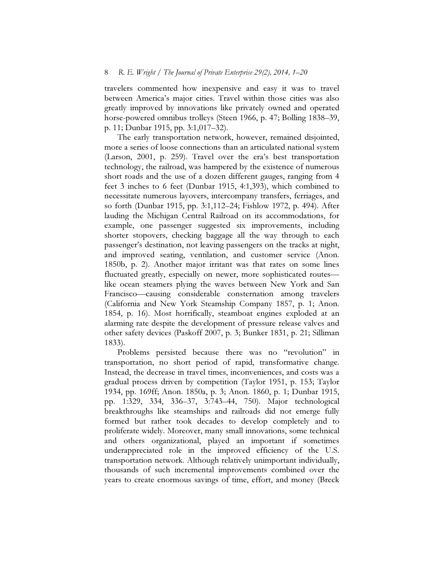travelers commented how inexpensive and easy it was to travel between America's major cities. Travel within those cities was also greatly improved by innovations like privately owned and operated horse-powered omnibus trolleys (Steen 1966, p. 47; Bolling 1838–39, p. 11; Dunbar 1915, pp. 3:1,017–32).

The early transportation network, however, remained disjointed, more a series of loose connections than an articulated national system (Larson, 2001, p. 259). Travel over the era's best transportation technology, the railroad, was hampered by the existence of numerous short roads and the use of a dozen different gauges, ranging from 4 feet 3 inches to 6 feet (Dunbar 1915, 4:1,393), which combined to necessitate numerous layovers, intercompany transfers, ferriages, and so forth (Dunbar 1915, pp. 3:1,112–24; Fishlow 1972, p. 494). After lauding the Michigan Central Railroad on its accommodations, for example, one passenger suggested six improvements, including shorter stopovers, checking baggage all the way through to each passenger's destination, not leaving passengers on the tracks at night, and improved seating, ventilation, and customer service (Anon. 1850b, p. 2). Another major irritant was that rates on some lines fluctuated greatly, especially on newer, more sophisticated routes like ocean steamers plying the waves between New York and San Francisco—causing considerable consternation among travelers (California and New York Steamship Company 1857, p. 1; Anon. 1854, p. 16). Most horrifically, steamboat engines exploded at an alarming rate despite the development of pressure release valves and other safety devices (Paskoff 2007, p. 3; Bunker 1831, p. 21; Silliman 1833).

Problems persisted because there was no "revolution" in transportation, no short period of rapid, transformative change. Instead, the decrease in travel times, inconveniences, and costs was a gradual process driven by competition (Taylor 1951, p. 153; Taylor 1934, pp. 169ff; Anon. 1850a, p. 3; Anon. 1860, p. 1; Dunbar 1915, pp. 1:329, 334, 336–37, 3:743–44, 750). Major technological breakthroughs like steamships and railroads did not emerge fully formed but rather took decades to develop completely and to proliferate widely. Moreover, many small innovations, some technical and others organizational, played an important if sometimes underappreciated role in the improved efficiency of the U.S. transportation network. Although relatively unimportant individually, thousands of such incremental improvements combined over the years to create enormous savings of time, effort, and money (Breck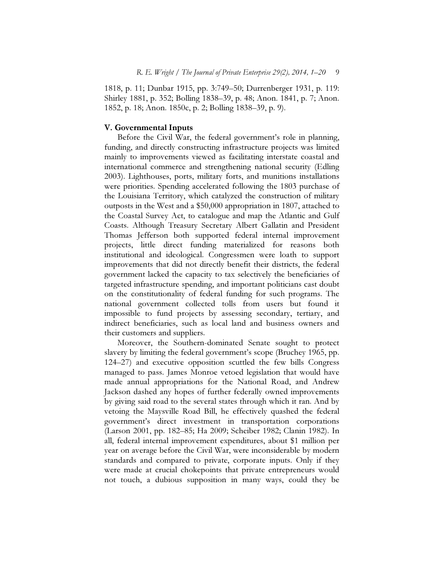1818, p. 11; Dunbar 1915, pp. 3:749–50; Durrenberger 1931, p. 119: Shirley 1881, p. 352; Bolling 1838–39, p. 48; Anon. 1841, p. 7; Anon. 1852, p. 18; Anon. 1850c, p. 2; Bolling 1838–39, p. 9).

#### V. Governmental Inputs

Before the Civil War, the federal government's role in planning, funding, and directly constructing infrastructure projects was limited mainly to improvements viewed as facilitating interstate coastal and international commerce and strengthening national security (Edling 2003). Lighthouses, ports, military forts, and munitions installations were priorities. Spending accelerated following the 1803 purchase of the Louisiana Territory, which catalyzed the construction of military outposts in the West and a \$50,000 appropriation in 1807, attached to the Coastal Survey Act, to catalogue and map the Atlantic and Gulf Coasts. Although Treasury Secretary Albert Gallatin and President Thomas Jefferson both supported federal internal improvement projects, little direct funding materialized for reasons both institutional and ideological. Congressmen were loath to support improvements that did not directly benefit their districts, the federal government lacked the capacity to tax selectively the beneficiaries of targeted infrastructure spending, and important politicians cast doubt on the constitutionality of federal funding for such programs. The national government collected tolls from users but found it impossible to fund projects by assessing secondary, tertiary, and indirect beneficiaries, such as local land and business owners and their customers and suppliers.

Moreover, the Southern-dominated Senate sought to protect slavery by limiting the federal government's scope (Bruchey 1965, pp. 124–27) and executive opposition scuttled the few bills Congress managed to pass. James Monroe vetoed legislation that would have made annual appropriations for the National Road, and Andrew Jackson dashed any hopes of further federally owned improvements by giving said road to the several states through which it ran. And by vetoing the Maysville Road Bill, he effectively quashed the federal government's direct investment in transportation corporations (Larson 2001, pp. 182–85; Ha 2009; Scheiber 1982; Clanin 1982). In all, federal internal improvement expenditures, about \$1 million per year on average before the Civil War, were inconsiderable by modern standards and compared to private, corporate inputs. Only if they were made at crucial chokepoints that private entrepreneurs would not touch, a dubious supposition in many ways, could they be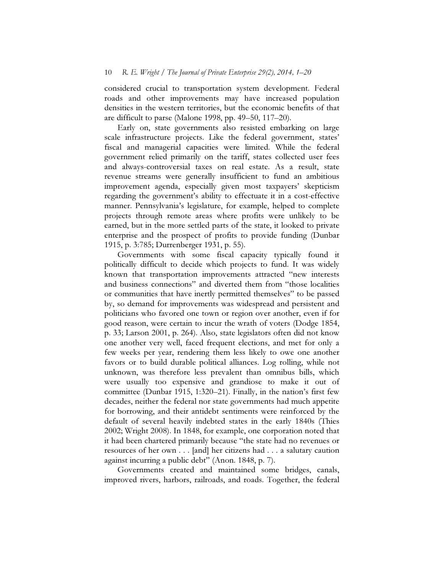considered crucial to transportation system development. Federal roads and other improvements may have increased population densities in the western territories, but the economic benefits of that are difficult to parse (Malone 1998, pp. 49–50, 117–20).

Early on, state governments also resisted embarking on large scale infrastructure projects. Like the federal government, states' fiscal and managerial capacities were limited. While the federal government relied primarily on the tariff, states collected user fees and always-controversial taxes on real estate. As a result, state revenue streams were generally insufficient to fund an ambitious improvement agenda, especially given most taxpayers' skepticism regarding the government's ability to effectuate it in a cost-effective manner. Pennsylvania's legislature, for example, helped to complete projects through remote areas where profits were unlikely to be earned, but in the more settled parts of the state, it looked to private enterprise and the prospect of profits to provide funding (Dunbar 1915, p. 3:785; Durrenberger 1931, p. 55).

Governments with some fiscal capacity typically found it politically difficult to decide which projects to fund. It was widely known that transportation improvements attracted "new interests and business connections" and diverted them from "those localities or communities that have inertly permitted themselves" to be passed by, so demand for improvements was widespread and persistent and politicians who favored one town or region over another, even if for good reason, were certain to incur the wrath of voters (Dodge 1854, p. 33; Larson 2001, p. 264). Also, state legislators often did not know one another very well, faced frequent elections, and met for only a few weeks per year, rendering them less likely to owe one another favors or to build durable political alliances. Log rolling, while not unknown, was therefore less prevalent than omnibus bills, which were usually too expensive and grandiose to make it out of committee (Dunbar 1915, 1:320–21). Finally, in the nation's first few decades, neither the federal nor state governments had much appetite for borrowing, and their antidebt sentiments were reinforced by the default of several heavily indebted states in the early 1840s (Thies 2002; Wright 2008). In 1848, for example, one corporation noted that it had been chartered primarily because "the state had no revenues or resources of her own . . . [and] her citizens had . . . a salutary caution against incurring a public debt" (Anon. 1848, p. 7).

 Governments created and maintained some bridges, canals, improved rivers, harbors, railroads, and roads. Together, the federal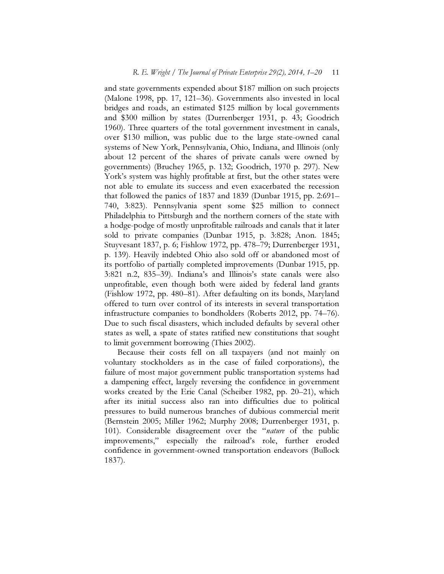and state governments expended about \$187 million on such projects (Malone 1998, pp. 17, 121–36). Governments also invested in local bridges and roads, an estimated \$125 million by local governments and \$300 million by states (Durrenberger 1931, p. 43; Goodrich 1960). Three quarters of the total government investment in canals, over \$130 million, was public due to the large state-owned canal systems of New York, Pennsylvania, Ohio, Indiana, and Illinois (only about 12 percent of the shares of private canals were owned by governments) (Bruchey 1965, p. 132; Goodrich, 1970 p. 297). New York's system was highly profitable at first, but the other states were not able to emulate its success and even exacerbated the recession that followed the panics of 1837 and 1839 (Dunbar 1915, pp. 2:691– 740, 3:823). Pennsylvania spent some \$25 million to connect Philadelphia to Pittsburgh and the northern corners of the state with a hodge-podge of mostly unprofitable railroads and canals that it later sold to private companies (Dunbar 1915, p. 3:828; Anon. 1845; Stuyvesant 1837, p. 6; Fishlow 1972, pp. 478–79; Durrenberger 1931, p. 139). Heavily indebted Ohio also sold off or abandoned most of its portfolio of partially completed improvements (Dunbar 1915, pp. 3:821 n.2, 835–39). Indiana's and Illinois's state canals were also unprofitable, even though both were aided by federal land grants (Fishlow 1972, pp. 480–81). After defaulting on its bonds, Maryland offered to turn over control of its interests in several transportation infrastructure companies to bondholders (Roberts 2012, pp. 74–76). Due to such fiscal disasters, which included defaults by several other states as well, a spate of states ratified new constitutions that sought to limit government borrowing (Thies 2002).

Because their costs fell on all taxpayers (and not mainly on voluntary stockholders as in the case of failed corporations), the failure of most major government public transportation systems had a dampening effect, largely reversing the confidence in government works created by the Erie Canal (Scheiber 1982, pp. 20–21), which after its initial success also ran into difficulties due to political pressures to build numerous branches of dubious commercial merit (Bernstein 2005; Miller 1962; Murphy 2008; Durrenberger 1931, p. 101). Considerable disagreement over the "*nature* of the public improvements," especially the railroad's role, further eroded confidence in government-owned transportation endeavors (Bullock 1837).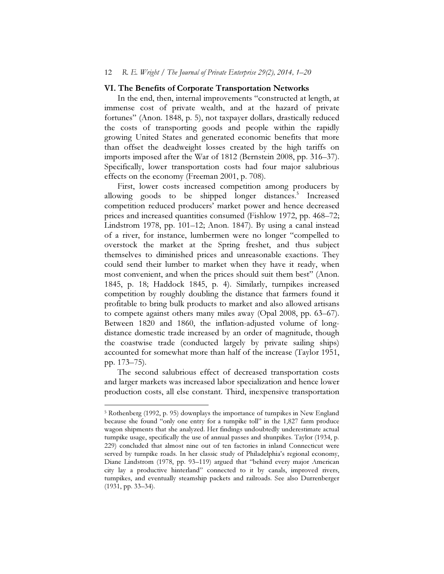#### 12 R. E. Wright / The Journal of Private Enterprise 29(2), 2014, 1–20

#### VI. The Benefits of Corporate Transportation Networks

In the end, then, internal improvements "constructed at length, at immense cost of private wealth, and at the hazard of private fortunes" (Anon. 1848, p. 5), not taxpayer dollars, drastically reduced the costs of transporting goods and people within the rapidly growing United States and generated economic benefits that more than offset the deadweight losses created by the high tariffs on imports imposed after the War of 1812 (Bernstein 2008, pp. 316–37). Specifically, lower transportation costs had four major salubrious effects on the economy (Freeman 2001, p. 708).

First, lower costs increased competition among producers by allowing goods to be shipped longer distances.<sup>5</sup> Increased competition reduced producers' market power and hence decreased prices and increased quantities consumed (Fishlow 1972, pp. 468–72; Lindstrom 1978, pp. 101–12; Anon. 1847). By using a canal instead of a river, for instance, lumbermen were no longer "compelled to overstock the market at the Spring freshet, and thus subject themselves to diminished prices and unreasonable exactions. They could send their lumber to market when they have it ready, when most convenient, and when the prices should suit them best" (Anon. 1845, p. 18; Haddock 1845, p. 4). Similarly, turnpikes increased competition by roughly doubling the distance that farmers found it profitable to bring bulk products to market and also allowed artisans to compete against others many miles away (Opal 2008, pp. 63–67). Between 1820 and 1860, the inflation-adjusted volume of longdistance domestic trade increased by an order of magnitude, though the coastwise trade (conducted largely by private sailing ships) accounted for somewhat more than half of the increase (Taylor 1951, pp. 173–75).

The second salubrious effect of decreased transportation costs and larger markets was increased labor specialization and hence lower production costs, all else constant. Third, inexpensive transportation

<sup>5</sup> Rothenberg (1992, p. 95) downplays the importance of turnpikes in New England because she found "only one entry for a turnpike toll" in the 1,827 farm produce wagon shipments that she analyzed. Her findings undoubtedly underestimate actual turnpike usage, specifically the use of annual passes and shunpikes. Taylor (1934, p. 229) concluded that almost nine out of ten factories in inland Connecticut were served by turnpike roads. In her classic study of Philadelphia's regional economy, Diane Lindstrom (1978, pp. 93–119) argued that "behind every major American city lay a productive hinterland" connected to it by canals, improved rivers, turnpikes, and eventually steamship packets and railroads. See also Durrenberger (1931, pp. 33–34).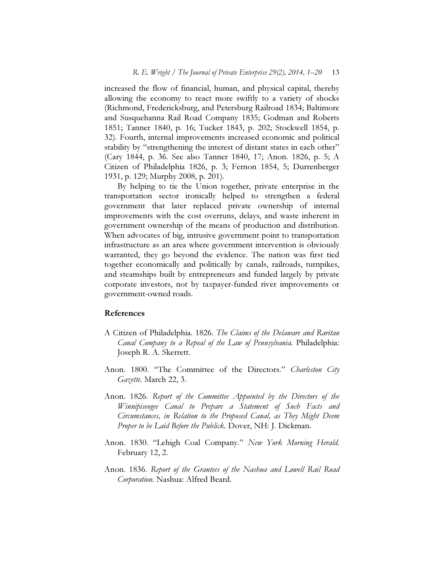increased the flow of financial, human, and physical capital, thereby allowing the economy to react more swiftly to a variety of shocks (Richmond, Fredericksburg, and Petersburg Railroad 1834; Baltimore and Susquehanna Rail Road Company 1835; Godman and Roberts 1851; Tanner 1840, p. 16; Tucker 1843, p. 202; Stockwell 1854, p. 32). Fourth, internal improvements increased economic and political stability by "strengthening the interest of distant states in each other" (Cary 1844, p. 36. See also Tanner 1840, 17; Anon. 1826, p. 5; A Citizen of Philadelphia 1826, p. 3; Fernon 1854, 5; Durrenberger 1931, p. 129; Murphy 2008, p. 201).

By helping to tie the Union together, private enterprise in the transportation sector ironically helped to strengthen a federal government that later replaced private ownership of internal improvements with the cost overruns, delays, and waste inherent in government ownership of the means of production and distribution. When advocates of big, intrusive government point to transportation infrastructure as an area where government intervention is obviously warranted, they go beyond the evidence. The nation was first tied together economically and politically by canals, railroads, turnpikes, and steamships built by entrepreneurs and funded largely by private corporate investors, not by taxpayer-funded river improvements or government-owned roads.

#### References

- A Citizen of Philadelphia. 1826. The Claims of the Delaware and Raritan Canal Company to a Repeal of the Law of Pennsylvania. Philadelphia: Joseph R. A. Skerrett.
- Anon. 1800. "The Committee of the Directors." Charleston City Gazette. March 22, 3.
- Anon. 1826. Report of the Committee Appointed by the Directors of the Winnipiseogee Canal to Prepare a Statement of Such Facts and Circumstances, in Relation to the Proposed Canal, as They Might Deem Proper to be Laid Before the Publick. Dover, NH: J. Dickman.
- Anon. 1830. "Lehigh Coal Company." New York Morning Herald. February 12, 2.
- Anon. 1836. Report of the Grantees of the Nashua and Lowell Rail Road Corporation. Nashua: Alfred Beard.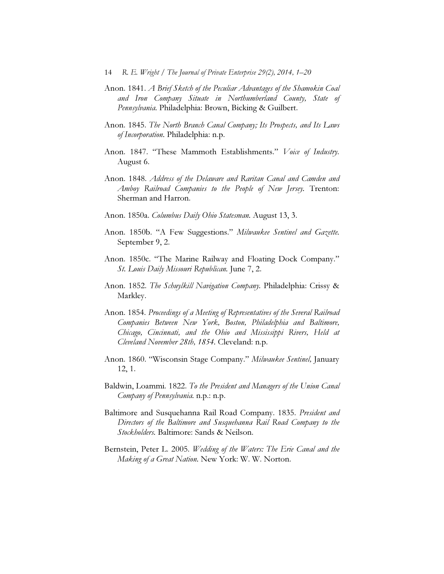- Anon. 1841. A Brief Sketch of the Peculiar Advantages of the Shamokin Coal and Iron Company Situate in Northumberland County, State of Pennsylvania. Philadelphia: Brown, Bicking & Guilbert.
- Anon. 1845. The North Branch Canal Company; Its Prospects, and Its Laws of Incorporation. Philadelphia: n.p.
- Anon. 1847. "These Mammoth Establishments." Voice of Industry. August 6.
- Anon. 1848. Address of the Delaware and Raritan Canal and Camden and Amboy Railroad Companies to the People of New Jersey. Trenton: Sherman and Harron.
- Anon. 1850a. Columbus Daily Ohio Statesman. August 13, 3.
- Anon. 1850b. "A Few Suggestions." Milwaukee Sentinel and Gazette. September 9, 2.
- Anon. 1850c. "The Marine Railway and Floating Dock Company." St. Louis Daily Missouri Republican. June 7, 2.
- Anon. 1852. The Schuylkill Navigation Company. Philadelphia: Crissy & Markley.
- Anon. 1854. Proceedings of a Meeting of Representatives of the Several Railroad Companies Between New York, Boston, Philadelphia and Baltimore, Chicago, Cincinnati, and the Ohio and Mississippi Rivers, Held at Cleveland November 28th, 1854. Cleveland: n.p.
- Anon. 1860. "Wisconsin Stage Company." Milwaukee Sentinel, January 12, 1.
- Baldwin, Loammi. 1822. To the President and Managers of the Union Canal Company of Pennsylvania. n.p.: n.p.
- Baltimore and Susquehanna Rail Road Company. 1835. President and Directors of the Baltimore and Susquehanna Rail Road Company to the Stockholders. Baltimore: Sands & Neilson.
- Bernstein, Peter L. 2005. Wedding of the Waters: The Erie Canal and the Making of a Great Nation. New York: W. W. Norton.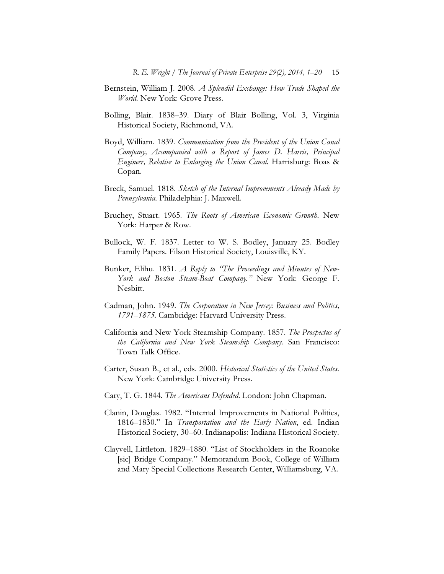- Bernstein, William J. 2008. *A Splendid Exchange: How Trade Shaped the* World. New York: Grove Press.
- Bolling, Blair. 1838–39. Diary of Blair Bolling, Vol. 3, Virginia Historical Society, Richmond, VA.
- Boyd, William. 1839. Communication from the President of the Union Canal Company, Accompanied with a Report of James D. Harris, Principal Engineer, Relative to Enlarging the Union Canal. Harrisburg: Boas & Copan.
- Breck, Samuel. 1818. Sketch of the Internal Improvements Already Made by Pennsylvania. Philadelphia: J. Maxwell.
- Bruchey, Stuart. 1965. The Roots of *American Economic Growth*. New York: Harper & Row.
- Bullock, W. F. 1837. Letter to W. S. Bodley, January 25. Bodley Family Papers. Filson Historical Society, Louisville, KY.
- Bunker, Elihu. 1831. A Reply to 'The Proceedings and Minutes of New-York and Boston Steam-Boat Company." New York: George F. Nesbitt.
- Cadman, John. 1949. The Corporation in New Jersey: Business and Politics, 1791–1875. Cambridge: Harvard University Press.
- California and New York Steamship Company. 1857. The Prospectus of the California and New York Steamship Company. San Francisco: Town Talk Office.
- Carter, Susan B., et al., eds. 2000. Historical Statistics of the United States. New York: Cambridge University Press.
- Cary, T. G. 1844. The Americans Defended. London: John Chapman.
- Clanin, Douglas. 1982. "Internal Improvements in National Politics, 1816–1830." In Transportation and the Early Nation, ed. Indian Historical Society, 30–60. Indianapolis: Indiana Historical Society.
- Clayvell, Littleton. 1829–1880. "List of Stockholders in the Roanoke [sic] Bridge Company." Memorandum Book, College of William and Mary Special Collections Research Center, Williamsburg, VA.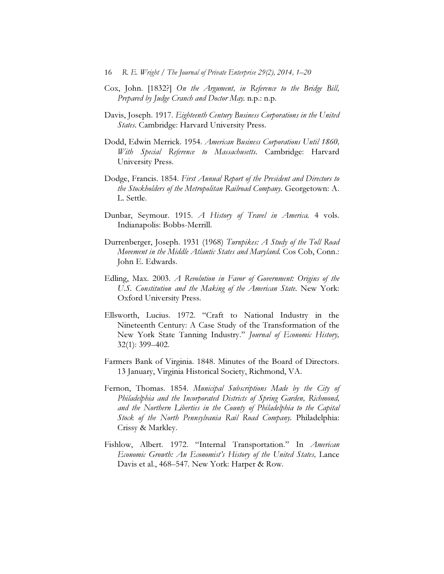- Cox, John. [1832?] On the Argument, in Reference to the Bridge Bill, Prepared by Judge Cranch and Doctor May. n.p.: n.p.
- Davis, Joseph. 1917. Eighteenth Century Business Corporations in the United States. Cambridge: Harvard University Press.
- Dodd, Edwin Merrick. 1954. American Business Corporations Until 1860, With Special Reference to Massachusetts. Cambridge: Harvard University Press.
- Dodge, Francis. 1854. First Annual Report of the President and Directors to the Stockholders of the Metropolitan Railroad Company. Georgetown: A. L. Settle.
- Dunbar, Seymour. 1915. A History of Travel in America. 4 vols. Indianapolis: Bobbs-Merrill.
- Durrenberger, Joseph. 1931 (1968) Turnpikes: A Study of the Toll Road Movement in the Middle Atlantic States and Maryland. Cos Cob, Conn.: John E. Edwards.
- Edling, Max. 2003. A Revolution in Favor of Government: Origins of the U.S. Constitution and the Making of the American State. New York: Oxford University Press.
- Ellsworth, Lucius. 1972. "Craft to National Industry in the Nineteenth Century: A Case Study of the Transformation of the New York State Tanning Industry." Journal of Economic History, 32(1): 399–402.
- Farmers Bank of Virginia. 1848. Minutes of the Board of Directors. 13 January, Virginia Historical Society, Richmond, VA.
- Fernon, Thomas. 1854. Municipal Subscriptions Made by the City of Philadelphia and the Incorporated Districts of Spring Garden, Richmond, and the Northern Liberties in the County of Philadelphia to the Capital Stock of the North Pennsylvania Rail Road Company. Philadelphia: Crissy & Markley.
- Fishlow, Albert. 1972. "Internal Transportation." In *American* Economic Growth: An Economist's History of the United States, Lance Davis et al., 468–547. New York: Harper & Row.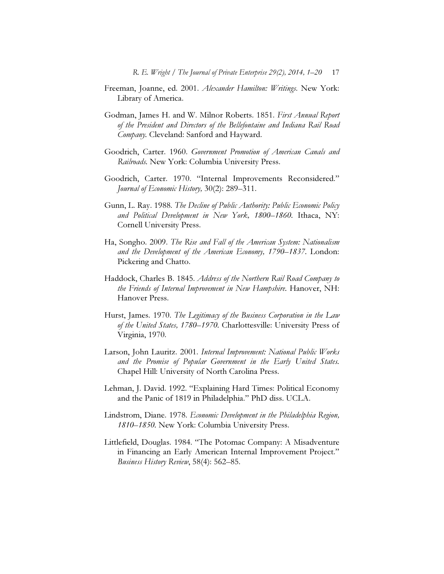- Freeman, Joanne, ed. 2001. Alexander Hamilton: Writings. New York: Library of America.
- Godman, James H. and W. Milnor Roberts. 1851. First Annual Report of the President and Directors of the Bellefontaine and Indiana Rail Road Company. Cleveland: Sanford and Hayward.
- Goodrich, Carter. 1960. Government Promotion of American Canals and Railroads. New York: Columbia University Press.
- Goodrich, Carter. 1970. "Internal Improvements Reconsidered." Journal of Economic History, 30(2): 289–311.
- Gunn, L. Ray. 1988. The Decline of Public Authority: Public Economic Policy and Political Development in New York, 1800–1860. Ithaca, NY: Cornell University Press.
- Ha, Songho. 2009. The Rise and Fall of the American System: Nationalism and the Development of the American Economy, 1790–1837. London: Pickering and Chatto.
- Haddock, Charles B. 1845. Address of the Northern Rail Road Company to the Friends of Internal Improvement in New Hampshire. Hanover, NH: Hanover Press.
- Hurst, James. 1970. The Legitimacy of the Business Corporation in the Law of the United States, 1780–1970. Charlottesville: University Press of Virginia, 1970.
- Larson, John Lauritz. 2001. Internal Improvement: National Public Works and the Promise of Popular Government in the Early United States. Chapel Hill: University of North Carolina Press.
- Lehman, J. David. 1992. "Explaining Hard Times: Political Economy and the Panic of 1819 in Philadelphia." PhD diss. UCLA.
- Lindstrom, Diane. 1978. Economic Development in the Philadelphia Region, 1810–1850. New York: Columbia University Press.
- Littlefield, Douglas. 1984. "The Potomac Company: A Misadventure in Financing an Early American Internal Improvement Project." Business History Review, 58(4): 562–85.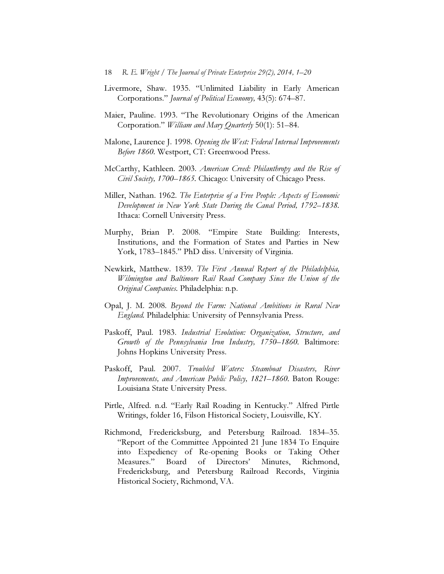- Livermore, Shaw. 1935. "Unlimited Liability in Early American Corporations." Journal of Political Economy, 43(5): 674–87.
- Maier, Pauline. 1993. "The Revolutionary Origins of the American Corporation." William and Mary Quarterly 50(1): 51–84.
- Malone, Laurence J. 1998. Opening the West: Federal Internal Improvements Before 1860. Westport, CT: Greenwood Press.
- McCarthy, Kathleen. 2003. American Creed: Philanthropy and the Rise of Civil Society, 1700–1865. Chicago: University of Chicago Press.
- Miller, Nathan. 1962. The Enterprise of a Free People: Aspects of Economic Development in New York State During the Canal Period, 1792–1838. Ithaca: Cornell University Press.
- Murphy, Brian P. 2008. "Empire State Building: Interests, Institutions, and the Formation of States and Parties in New York, 1783–1845." PhD diss. University of Virginia.
- Newkirk, Matthew. 1839. The First Annual Report of the Philadelphia, Wilmington and Baltimore Rail Road Company Since the Union of the Original Companies. Philadelphia: n.p.
- Opal, J. M. 2008. Beyond the Farm: National Ambitions in Rural New England. Philadelphia: University of Pennsylvania Press.
- Paskoff, Paul. 1983. Industrial Evolution: Organization, Structure, and Growth of the Pennsylvania Iron Industry, 1750–1860. Baltimore: Johns Hopkins University Press.
- Paskoff, Paul. 2007. Troubled Waters: Steamboat Disasters, River Improvements, and American Public Policy, 1821–1860. Baton Rouge: Louisiana State University Press.
- Pirtle, Alfred. n.d. "Early Rail Roading in Kentucky." Alfred Pirtle Writings, folder 16, Filson Historical Society, Louisville, KY.
- Richmond, Fredericksburg, and Petersburg Railroad. 1834–35. "Report of the Committee Appointed 21 June 1834 To Enquire into Expediency of Re-opening Books or Taking Other Measures." Board of Directors' Minutes, Richmond, Fredericksburg, and Petersburg Railroad Records, Virginia Historical Society, Richmond, VA.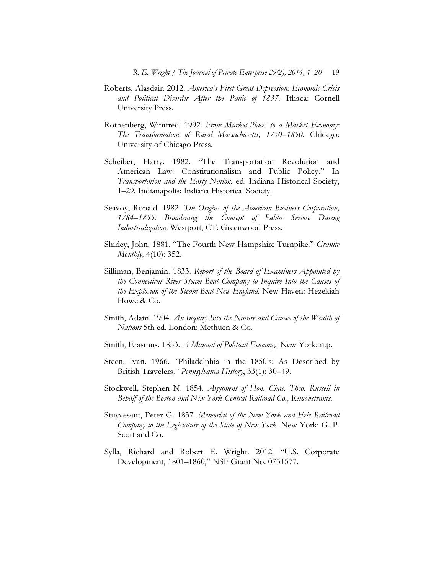- Roberts, Alasdair. 2012. America's First Great Depression: Economic Crisis and Political Disorder After the Panic of 1837. Ithaca: Cornell University Press.
- Rothenberg, Winifred. 1992. From Market-Places to a Market Economy: The Transformation of Rural Massachusetts, 1750–1850. Chicago: University of Chicago Press.
- Scheiber, Harry. 1982. "The Transportation Revolution and American Law: Constitutionalism and Public Policy." In Transportation and the Early Nation, ed. Indiana Historical Society, 1–29. Indianapolis: Indiana Historical Society.
- Seavoy, Ronald. 1982. The Origins of the American Business Corporation, 1784–1855: Broadening the Concept of Public Service During Industrialization. Westport, CT: Greenwood Press.
- Shirley, John. 1881. "The Fourth New Hampshire Turnpike." Granite Monthly, 4(10): 352.
- Silliman, Benjamin. 1833. Report of the Board of Examiners Appointed by the Connecticut River Steam Boat Company to Inquire Into the Causes of the Explosion of the Steam Boat New England. New Haven: Hezekiah Howe & Co.
- Smith, Adam. 1904. An Inquiry Into the Nature and Causes of the Wealth of Nations 5th ed. London: Methuen & Co.
- Smith, Erasmus. 1853. *A Manual of Political Economy*. New York: n.p.
- Steen, Ivan. 1966. "Philadelphia in the 1850's: As Described by British Travelers." Pennsylvania History, 33(1): 30–49.
- Stockwell, Stephen N. 1854. Argument of Hon. Chas. Theo. Russell in Behalf of the Boston and New York Central Railroad Co., Remonstrants.
- Stuyvesant, Peter G. 1837. Memorial of the New York and Erie Railroad Company to the Legislature of the State of New York. New York: G. P. Scott and Co.
- Sylla, Richard and Robert E. Wright. 2012. "U.S. Corporate Development, 1801–1860," NSF Grant No. 0751577.